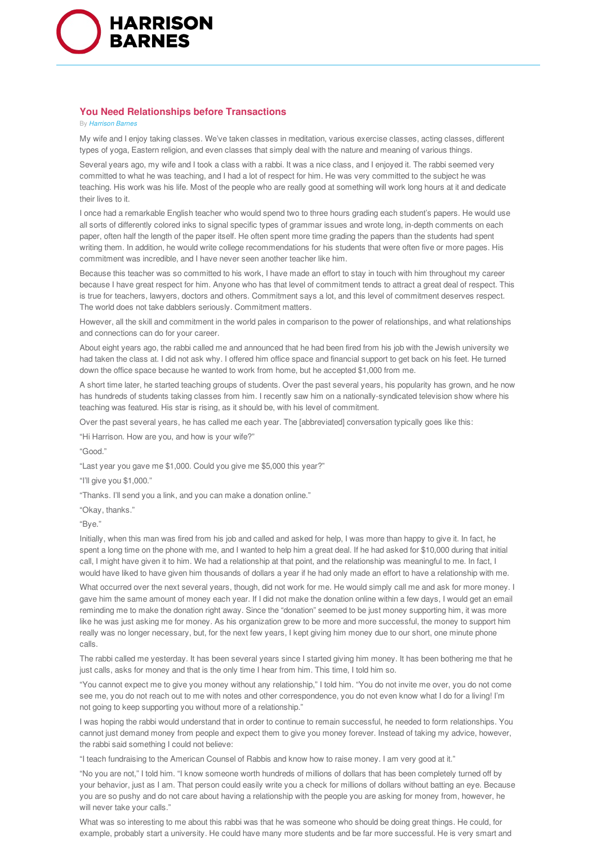

## **You Need Relationships before Transactions**

## **By Harrison Barnes**

My wife and I enjoy taking classes. We've taken classes in meditation, various exercise classes, acting classes, different types of yoga, Eastern religion, and even classes that simply deal with the nature and meaning of various things.

Several years ago, my wife and I took a class with a rabbi. It was a nice class, and I enjoyed it. The rabbi seemed very committed to what he was teaching, and I had a lot of respect for him. He was very committed to the subject he was teaching. His work was his life. Most of the people who are really good at something will work long hours at it and dedicate their lives to it.

I once had a remarkable English teacher who would spend two to three hours grading each student's papers. He would use all sorts of differently colored inks to signal specific types of grammar issues and wrote long, in-depth comments on each paper, often half the length of the paper itself. He often spent more time grading the papers than the students had spent writing them. In addition, he would write college recommendations for his students that were often five or more pages. His commitment was incredible, and I have never seen another teacher like him.

Because this teacher was so committed to his work, I have made an effort to stay in touch with him throughout my career because I have great respect for him. Anyone who has that level of commitment tends to attract a great deal of respect. This is true for teachers, lawyers, doctors and others. Commitment says a lot, and this level of commitment deserves respect. The world does not take dabblers seriously. Commitment matters.

However, all the skill and commitment in the world pales in comparison to the power of relationships, and what relationships and connections can do for your career.

About eight years ago, the rabbi called me and announced that he had been fired from his job with the Jewish university we had taken the class at. I did not ask why. I offered him office space and financial support to get back on his feet. He turned down the office space because he wanted to work from home, but he accepted \$1,000 from me.

A short time later, he started teaching groups of students. Over the past several years, his popularity has grown, and he now has hundreds of students taking classes from him. I recently saw him on a nationally-syndicated television show where his teaching was featured. His star is rising, as it should be, with his level of commitment.

Over the past several years, he has called me each year. The [abbreviated] conversation typically goes like this:

"Hi Harrison. How are you, and how is your wife?"

"Good."

"Last year you gave me \$1,000. Could you give me \$5,000 this year?"

"I'll give you \$1,000."

"Thanks. I'll send you a link, and you can make a donation online."

"Okay, thanks."

"Bye."

Initially, when this man was fired from his job and called and asked for help, I was more than happy to give it. In fact, he spent a long time on the phone with me, and I wanted to help him a great deal. If he had asked for \$10,000 during that initial call, I might have given it to him. We had a relationship at that point, and the relationship was meaningful to me. In fact, I would have liked to have given him thousands of dollars a year if he had only made an effort to have a relationship with me.

What occurred over the next several years, though, did not work for me. He would simply call me and ask for more money. I gave him the same amount of money each year. If I did not make the donation online within a few days, I would get an email reminding me to make the donation right away. Since the "donation" seemed to be just money supporting him, it was more like he was just asking me for money. As his organization grew to be more and more successful, the money to support him really was no longer necessary, but, for the next few years, I kept giving him money due to our short, one minute phone calls.

The rabbi called me yesterday. It has been several years since I started giving him money. It has been bothering me that he just calls, asks for money and that is the only time I hear from him. This time, I told him so.

"You cannot expect me to give you money without any relationship," I told him. "You do not invite me over, you do not come see me, you do not reach out to me with notes and other correspondence, you do not even know what I do for a living! I'm not going to keep supporting you without more of a relationship."

I was hoping the rabbi would understand that in order to continue to remain successful, he needed to form relationships. You cannot just demand money from people and expect them to give you money forever. Instead of taking my advice, however, the rabbi said something I could not believe:

"I teach fundraising to the American Counsel of Rabbis and know how to raise money. I am very good at it."

"No you are not," I told him. "I know someone worth hundreds of millions of dollars that has been completely turned off by your behavior, just as I am. That person could easily write you a check for millions of dollars without batting an eye. Because you are so pushy and do not care about having a relationship with the people you are asking for money from, however, he will never take your calls."

What was so interesting to me about this rabbi was that he was someone who should be doing great things. He could, for example, probably start a university. He could have many more students and be far more successful. He is very smart and